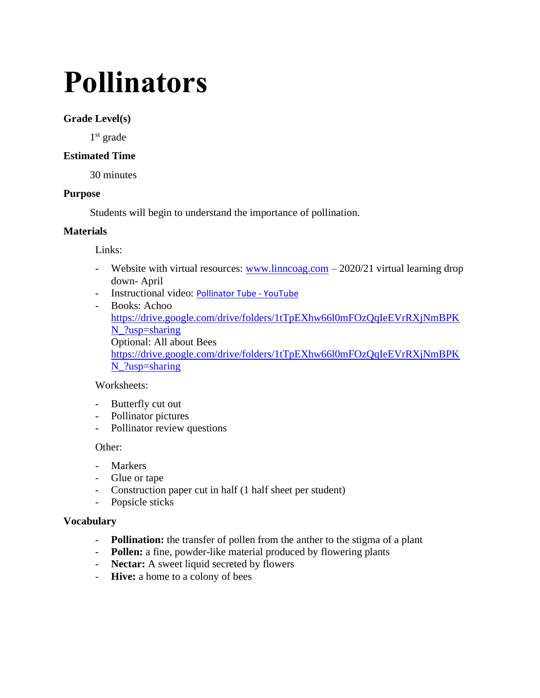# **Pollinators**

# **Grade Level(s)**

1<sup>st</sup> grade

# **Estimated Time**

30 minutes

# **Purpose**

Students will begin to understand the importance of pollination.

## **Materials**

Links:

- Website with virtual resources:  $\frac{www}{limcog.com} 2020/21$  virtual learning drop down- April
- Instructional video: [Pollinator Tube -](https://www.youtube.com/watch?v=XLWQUpUiWtg) YouTube
- Books: Achoo [https://drive.google.com/drive/folders/1tTpEXhw66l0mFOzQqIeEVrRXjNmBPK](https://drive.google.com/drive/folders/1tTpEXhw66l0mFOzQqIeEVrRXjNmBPKN_?usp=sharing) [N\\_?usp=sharing](https://drive.google.com/drive/folders/1tTpEXhw66l0mFOzQqIeEVrRXjNmBPKN_?usp=sharing) Optional: All about Bees [https://drive.google.com/drive/folders/1tTpEXhw66l0mFOzQqIeEVrRXjNmBPK](https://drive.google.com/drive/folders/1tTpEXhw66l0mFOzQqIeEVrRXjNmBPKN_?usp=sharing) [N\\_?usp=sharing](https://drive.google.com/drive/folders/1tTpEXhw66l0mFOzQqIeEVrRXjNmBPKN_?usp=sharing)

# Worksheets:

- Butterfly cut out
- Pollinator pictures
- Pollinator review questions

## Other:

- Markers
- Glue or tape
- Construction paper cut in half (1 half sheet per student)
- Popsicle sticks

## **Vocabulary**

- **Pollination:** the transfer of pollen from the anther to the stigma of a plant
- **Pollen:** a fine, powder-like material produced by flowering plants
- **Nectar:** A sweet liquid secreted by flowers
- **Hive:** a home to a colony of bees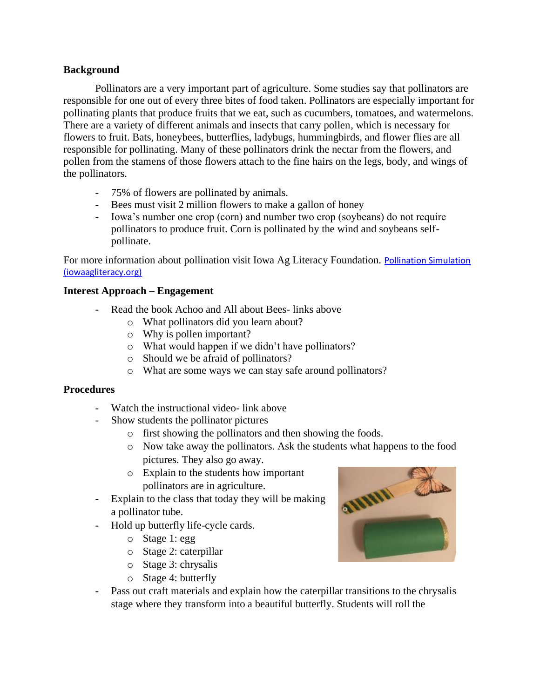## **Background**

Pollinators are a very important part of agriculture. Some studies say that pollinators are responsible for one out of every three bites of food taken. Pollinators are especially important for pollinating plants that produce fruits that we eat, such as cucumbers, tomatoes, and watermelons. There are a variety of different animals and insects that carry pollen, which is necessary for flowers to fruit. Bats, honeybees, butterflies, ladybugs, hummingbirds, and flower flies are all responsible for pollinating. Many of these pollinators drink the nectar from the flowers, and pollen from the stamens of those flowers attach to the fine hairs on the legs, body, and wings of the pollinators.

- 75% of flowers are pollinated by animals.
- Bees must visit 2 million flowers to make a gallon of honey
- Iowa's number one crop (corn) and number two crop (soybeans) do not require pollinators to produce fruit. Corn is pollinated by the wind and soybeans selfpollinate.

For more information about pollination visit Iowa Ag Literacy Foundation. [Pollination Simulation](https://www.iowaagliteracy.org/Article/Pollination-Simulation)  [\(iowaagliteracy.org\)](https://www.iowaagliteracy.org/Article/Pollination-Simulation)

# **Interest Approach – Engagement**

- Read the book Achoo and All about Bees- links above
	- o What pollinators did you learn about?
	- o Why is pollen important?
	- o What would happen if we didn't have pollinators?
	- o Should we be afraid of pollinators?
	- o What are some ways we can stay safe around pollinators?

## **Procedures**

- Watch the instructional video- link above
- Show students the pollinator pictures
	- o first showing the pollinators and then showing the foods.
	- o Now take away the pollinators. Ask the students what happens to the food pictures. They also go away.
	- o Explain to the students how important pollinators are in agriculture.
- Explain to the class that today they will be making a pollinator tube.
- Hold up butterfly life-cycle cards.
	- o Stage 1: egg
	- o Stage 2: caterpillar
	- o Stage 3: chrysalis
	- o Stage 4: butterfly
- Pass out craft materials and explain how the caterpillar transitions to the chrysalis stage where they transform into a beautiful butterfly. Students will roll the